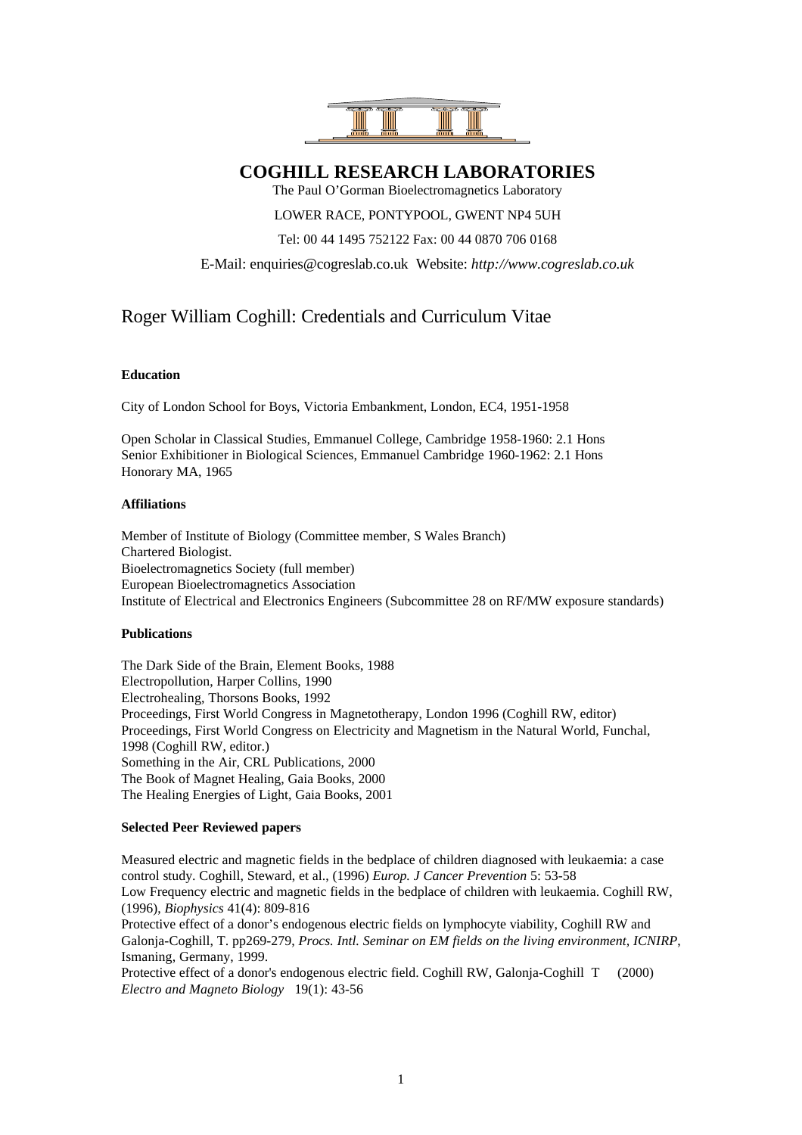

**COGHILL RESEARCH LABORATORIES**

The Paul O'Gorman Bioelectromagnetics Laboratory

LOWER RACE, PONTYPOOL, GWENT NP4 5UH

Tel: 00 44 1495 752122 Fax: 00 44 0870 706 0168

E-Mail: enquiries@cogreslab.co.uk Website: *http://www.cogreslab.co.uk*

# Roger William Coghill: Credentials and Curriculum Vitae

### **Education**

City of London School for Boys, Victoria Embankment, London, EC4, 1951-1958

Open Scholar in Classical Studies, Emmanuel College, Cambridge 1958-1960: 2.1 Hons Senior Exhibitioner in Biological Sciences, Emmanuel Cambridge 1960-1962: 2.1 Hons Honorary MA, 1965

#### **Affiliations**

Member of Institute of Biology (Committee member, S Wales Branch) Chartered Biologist. Bioelectromagnetics Society (full member) European Bioelectromagnetics Association Institute of Electrical and Electronics Engineers (Subcommittee 28 on RF/MW exposure standards)

## **Publications**

The Dark Side of the Brain, Element Books, 1988 Electropollution, Harper Collins, 1990 Electrohealing, Thorsons Books, 1992 Proceedings, First World Congress in Magnetotherapy, London 1996 (Coghill RW, editor) Proceedings, First World Congress on Electricity and Magnetism in the Natural World, Funchal, 1998 (Coghill RW, editor.) Something in the Air, CRL Publications, 2000 The Book of Magnet Healing, Gaia Books, 2000 The Healing Energies of Light, Gaia Books, 2001

## **Selected Peer Reviewed papers**

Measured electric and magnetic fields in the bedplace of children diagnosed with leukaemia: a case control study. Coghill, Steward, et al., (1996) *Europ. J Cancer Prevention* 5: 53-58 Low Frequency electric and magnetic fields in the bedplace of children with leukaemia. Coghill RW, (1996), *Biophysics* 41(4): 809-816 Protective effect of a donor's endogenous electric fields on lymphocyte viability, Coghill RW and Galonja-Coghill, T. pp269-279, *Procs. Intl. Seminar on EM fields on the living environment, ICNIRP*, Ismaning, Germany, 1999. Protective effect of a donor's endogenous electric field. Coghill RW, Galonja-Coghill T (2000) *Electro and Magneto Biology* 19(1): 43-56